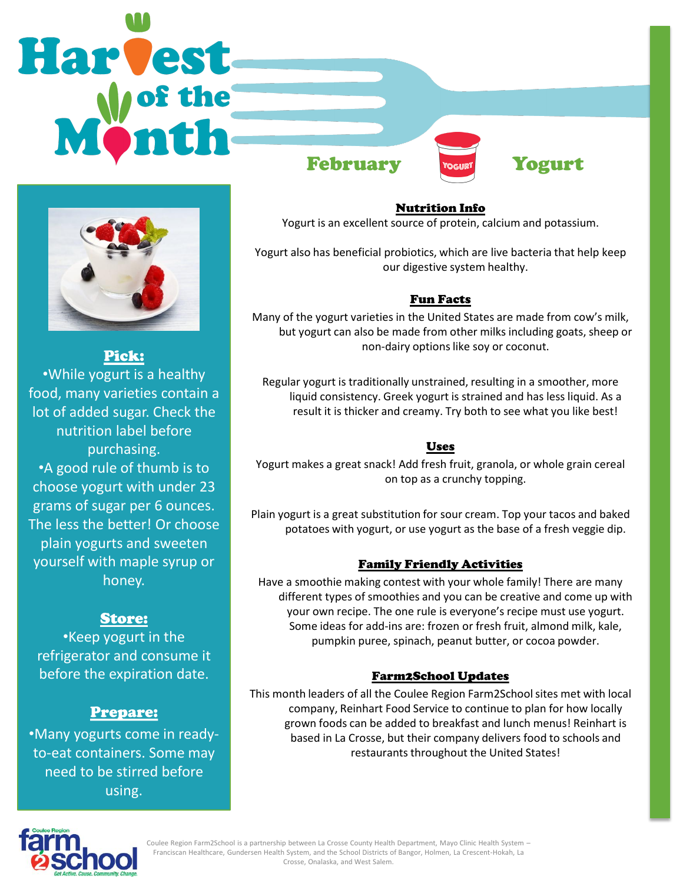# Harvest February **Yogurt**



Pick: •While yogurt is a healthy food, many varieties contain a lot of added sugar. Check the nutrition label before purchasing. •A good rule of thumb is to choose yogurt with under 23 grams of sugar per 6 ounces. The less the better! Or choose plain yogurts and sweeten yourself with maple syrup or honey.

#### Store:

•Keep yogurt in the refrigerator and consume it before the expiration date.

## Prepare:

•Many yogurts come in readyto-eat containers. Some may need to be stirred before using.

Nutrition Info Yogurt is an excellent source of protein, calcium and potassium.

Yogurt also has beneficial probiotics, which are live bacteria that help keep our digestive system healthy.

### Fun Facts

Many of the yogurt varieties in the United States are made from cow's milk, but yogurt can also be made from other milks including goats, sheep or non-dairy options like soy or coconut.

Regular yogurt is traditionally unstrained, resulting in a smoother, more liquid consistency. Greek yogurt is strained and has less liquid. As a result it is thicker and creamy. Try both to see what you like best!

### Uses

Yogurt makes a great snack! Add fresh fruit, granola, or whole grain cereal on top as a crunchy topping.

Plain yogurt is a great substitution for sour cream. Top your tacos and baked potatoes with yogurt, or use yogurt as the base of a fresh veggie dip.

### Family Friendly Activities

Have a smoothie making contest with your whole family! There are many different types of smoothies and you can be creative and come up with your own recipe. The one rule is everyone's recipe must use yogurt. Some ideas for add-ins are: frozen or fresh fruit, almond milk, kale, pumpkin puree, spinach, peanut butter, or cocoa powder.

#### Farm2School Updates

This month leaders of all the Coulee Region Farm2School sites met with local company, Reinhart Food Service to continue to plan for how locally grown foods can be added to breakfast and lunch menus! Reinhart is based in La Crosse, but their company delivers food to schools and restaurants throughout the United States!



Coulee Region Farm2School is a partnership between La Crosse County Health Department, Mayo Clinic Health System – Franciscan Healthcare, Gundersen Health System, and the School Districts of Bangor, Holmen, La Crescent-Hokah, La Crosse, Onalaska, and West Salem.